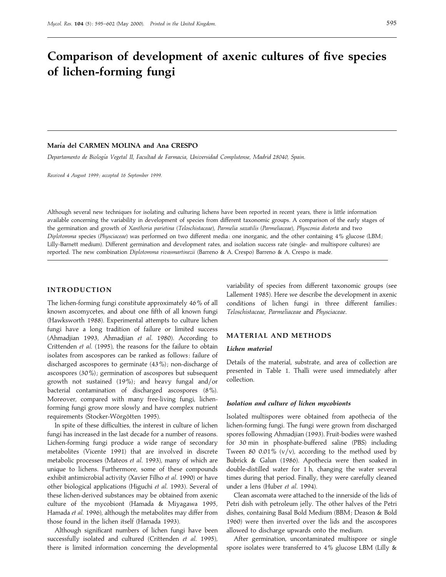# **Comparison of development of axenic cultures of five species of lichen-forming fungi**

# **Marı!a del CARMEN MOLINA and Ana CRESPO**

*Departamento de Biologı*U*a Vegetal II*, *Facultad de Farmacia*, *Universidad Complutense*, *Madrid 28040*, *Spain*.

*Received 4 August 1999 ; accepted 16 September 1999.*

Although several new techniques for isolating and culturing lichens have been reported in recent years, there is little information available concerning the variability in development of species from different taxonomic groups. A comparison of the early stages of the germination and growth of *Xanthoria parietina* (*Teloschistaceae*), *Parmelia saxatilis* (*Parmeliaceae*), *Physconia distorta* and two *Diplotomma* species (*Physciaceae*) was performed on two different media : one inorganic, and the other containing 4% glucose (LBM ; Lilly-Barnett medium). Different germination and development rates, and isolation success rate (single- and multispore cultures) are reported. The new combination *Diplotomma rivasmartinezii* (Barreno & A. Crespo) Barreno & A. Crespo is made.

# **INTRODUCTION**

The lichen-forming fungi constitute approximately 46% of all known ascomycetes, and about one fifth of all known fungi (Hawksworth 1988). Experimental attempts to culture lichen fungi have a long tradition of failure or limited success (Ahmadjian 1993, Ahmadjian *et al*. 1980). According to Crittenden *et al*. (1995), the reasons for the failure to obtain isolates from ascospores can be ranked as follows: failure of discharged ascospores to germinate  $(43\%)$ ; non-discharge of ascospores  $(30\%)$ ; germination of ascospores but subsequent growth not sustained  $(19\%)$ ; and heavy fungal and/or bacterial contamination of discharged ascospores (8%). Moreover, compared with many free-living fungi, lichenforming fungi grow more slowly and have complex nutrient requirements (Stocker-Wörgötten 1995).

In spite of these difficulties, the interest in culture of lichen fungi has increased in the last decade for a number of reasons. Lichen-forming fungi produce a wide range of secondary metabolites (Vicente 1991) that are involved in discrete metabolic processes (Mateos *et al*. 1993), many of which are unique to lichens. Furthermore, some of these compounds exhibit antimicrobial activity (Xavier Filho *et al*. 1990) or have other biological applications (Higuchi *et al*. 1993). Several of these lichen-derived substances may be obtained from axenic culture of the mycobiont (Hamada & Miyagawa 1995, Hamada *et al*. 1996), although the metabolites may differ from those found in the lichen itself (Hamada 1993).

Although significant numbers of lichen fungi have been successfully isolated and cultured (Crittenden *et al*. 1995), there is limited information concerning the developmental

variability of species from different taxonomic groups (see Lallement 1985). Here we describe the development in axenic conditions of lichen fungi in three different families: *Teloschistaceae*, *Parmeliaceae* and *Physciaceae*.

# **MATERIAL AND METHODS**

### *Lichen material*

Details of the material, substrate, and area of collection are presented in Table 1. Thalli were used immediately after collection.

#### *Isolation and culture of lichen mycobionts*

Isolated multispores were obtained from apothecia of the lichen-forming fungi. The fungi were grown from discharged spores following Ahmadjian (1993). Fruit-bodies were washed for 30 min in phosphate-buffered saline (PBS) including Tween 80 0.01%  $(v/v)$ , according to the method used by Bubrick & Galun (1986). Apothecia were then soaked in double-distilled water for 1 h, changing the water several times during that period. Finally, they were carefully cleaned under a lens (Huber *et al*. 1994).

Clean ascomata were attached to the innerside of the lids of Petri dish with petroleum jelly. The other halves of the Petri dishes, containing Basal Bold Medium (BBM ; Deason & Bold 1960) were then inverted over the lids and the ascospores allowed to discharge upwards onto the medium.

After germination, uncontaminated multispore or single spore isolates were transferred to 4% glucose LBM (Lilly &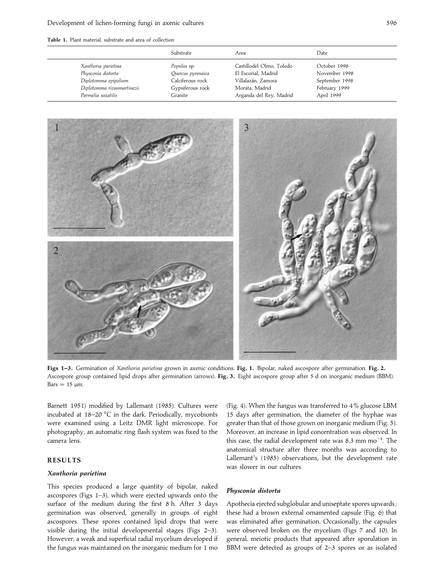**Table 1.** Plant material, substrate and area of collection

|                            | Substrate         | Area                     | Date           |
|----------------------------|-------------------|--------------------------|----------------|
| Xanthoria parietina        | Populus sp.       | Castillodel Olmo, Toledo | October 1998   |
| Physconia distorta         | Quercus pyrenaica | El Escorial, Madrid      | November 1998  |
| Diplotomma epipolium       | Calciferous rock  | Villalazán, Zamora       | September 1998 |
| Diplotomma rivasmartinezii | Gypsiferous rock  | Morata, Madrid           | February 1999  |
| Parmelia saxatilis         | Granite           | Arganda del Rey, Madrid  | April 1999     |



**Figs 1–3.** Germination of *Xanthoria parietina* grown in axenic conditions. **Fig. 1.** Bipolar, naked ascospore after germination. **Fig. 2.** Ascospore group contained lipid drops after germination (arrows). **Fig. 3.** Eight ascospore group after 5 d on inorganic medium (BBM).  $Bars = 15 \mu m$ .

Barnett 1951) modified by Lallemant (1985). Cultures were incubated at 18–20 °C in the dark. Periodically, mycobionts were examined using a Leitz DMR light microscope. For photography, an automatic ring flash system was fixed to the camera lens.

## **RESULTS**

### *Xanthoria parietina*

This species produced a large quantity of bipolar, naked ascospores (Figs 1–3), which were ejected upwards onto the surface of the medium during the first 8 h. After 3 days germination was observed, generally in groups of eight ascospores. These spores contained lipid drops that were visible during the initial developmental stages (Figs 2–3). However, a weak and superficial radial mycelium developed if the fungus was maintained on the inorganic medium for 1 mo

(Fig. 4). When the fungus was transferred to 4% glucose LBM 15 days after germination, the diameter of the hyphae was greater than that of those grown on inorganic medium (Fig. 5). Moreover, an increase in lipid concentration was observed. In this case, the radial development rate was 8.3 mm mo<sup>-1</sup>. The anatomical structure after three months was according to Lallemant's (1985) observations, but the development rate was slower in our cultures.

#### *Physconia distorta*

Apothecia ejected subglobular and uniseptate spores upwards ; these had a brown external ornamented capsule (Fig. 6) that was eliminated after germination. Occasionally, the capsules were observed broken on the mycelium (Figs 7 and 10). In general, meiotic products that appeared after sporulation in BBM were detected as groups of 2–3 spores or as isolated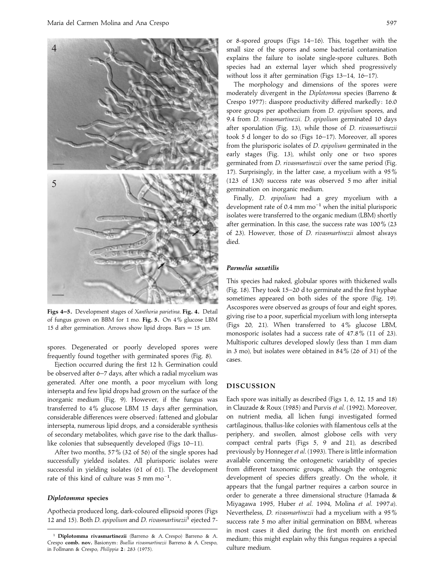

**Figs 4–5.** Development stages of *Xanthoria parietina*. **Fig. 4.** Detail of fungus grown on BBM for 1 mo. **Fig. 5.** On 4% glucose LBM 15 d after germination. Arrows show lipid drops. Bars = 15  $\mu$ m.

spores. Degenerated or poorly developed spores were frequently found together with germinated spores (Fig. 8).

Ejection occurred during the first 12 h. Germination could be observed after 6–7 days, after which a radial mycelium was generated. After one month, a poor mycelium with long intersepta and few lipid drops had grown on the surface of the inorganic medium (Fig. 9). However, if the fungus was transferred to 4% glucose LBM 15 days after germination, considerable differences were observed : fattened and globular intersepta, numerous lipid drops, and a considerable synthesis of secondary metabolites, which gave rise to the dark thalluslike colonies that subsequently developed (Figs 10–11).

After two months, 57% (32 of 56) of the single spores had successfully yielded isolates. All plurisporic isolates were successful in yielding isolates (61 of 61). The development rate of this kind of culture was 5 mm mo<sup>-1</sup>.

#### *Diplotomma* **species**

Apothecia produced long, dark-coloured ellipsoid spores (Figs 12 and 15). Both *<sup>D</sup>*. *epipolium* and *<sup>D</sup>*. *rivasmartinezii*" ejected 7-

or 8-spored groups (Figs 14–16). This, together with the small size of the spores and some bacterial contamination explains the failure to isolate single-spore cultures. Both species had an external layer which shed progressively without loss it after germination (Figs 13–14, 16–17).

The morphology and dimensions of the spores were moderately divergent in the *Diplotomma* species (Barreno & Crespo 1977): diaspore productivity differed markedly: 16.0 spore groups per apothecium from *D*. *epipolium* spores, and 9.4 from *D*. *rivasmartinezii*. *D*. *epipolium* germinated 10 days after sporulation (Fig. 13), while those of *D*. *rivasmartinezii* took 5 d longer to do so (Figs 16–17). Moreover, all spores from the plurisporic isolates of *D*. *epipolium* germinated in the early stages (Fig. 13), whilst only one or two spores germinated from *D*. *rivasmartinezii* over the same period (Fig. 17). Surprisingly, in the latter case, a mycelium with a 95% (123 of 130) success rate was observed 5 mo after initial germination on inorganic medium.

Finally, *D*. *epipolium* had a grey mycelium with a development rate of 0.4 mm  $mo^{-1}$  when the initial plurisporic isolates were transferred to the organic medium (LBM) shortly after germination. In this case, the success rate was 100% (23 of 23). However, those of *D*. *rivasmartinezii* almost always died.

#### *Parmelia saxatilis*

This species had naked, globular spores with thickened walls (Fig. 18). They took 15–20 d to germinate and the first hyphae sometimes appeared on both sides of the spore (Fig. 19). Ascospores were observed as groups of four and eight spores, giving rise to a poor, superficial mycelium with long intersepta (Figs 20, 21). When transferred to 4% glucose LBM, monosporic isolates had a success rate of 47.8% (11 of 23). Multisporic cultures developed slowly (less than 1 mm diam in 3 mo), but isolates were obtained in 84% (26 of 31) of the cases.

## **DISCUSSION**

Each spore was initially as described (Figs 1, 6, 12, 15 and 18) in Clauzade & Roux (1985) and Purvis *et al*. (1992). Moreover, on nutrient media, all lichen fungi investigated formed cartilaginous, thallus-like colonies with filamentous cells at the periphery, and swollen, almost globose cells with very compact central parts (Figs 5, 9 and 21), as described previously by Honneger *et al*. (1993). There is little information available concerning the ontogenetic variability of species from different taxonomic groups, although the ontogenic development of species differs greatly. On the whole, it appears that the fungal partner requires a carbon source in order to generate a three dimensional structure (Hamada & Miyagawa 1995, Huber *et al*. 1994, Molina *et al*. 1997*a*). Nevertheless, *D*. *rivasmartinezii* had a mycelium with a 95% success rate 5 mo after initial germination on BBM, whereas in most cases it died during the first month on enriched medium ; this might explain why this fungus requires a special culture medium.

<sup>&</sup>quot; **Diplotomma rivasmartinezii** (Barreno & A. Crespo) Barreno & A. Crespo **comb. nov.** Basionym : *Buellia rivasmartinezii* Barreno & A. Crespo, in Follmann & Crespo, *Philippia* **2**: 283 (1975).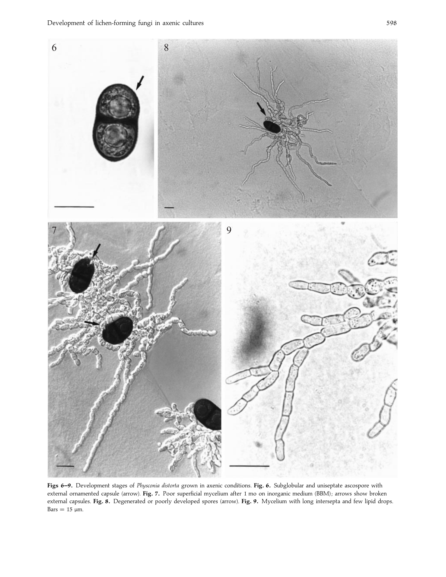

**Figs 6–9.** Development stages of *Physconia distorta* grown in axenic conditions. **Fig. 6.** Subglobular and uniseptate ascospore with external ornamented capsule (arrow). Fig. 7. Poor superficial mycelium after 1 mo on inorganic medium (BBM); arrows show broken external capsules. **Fig. 8.** Degenerated or poorly developed spores (arrow). **Fig. 9.** Mycelium with long intersepta and few lipid drops.  $Bars = 15 \mu m$ .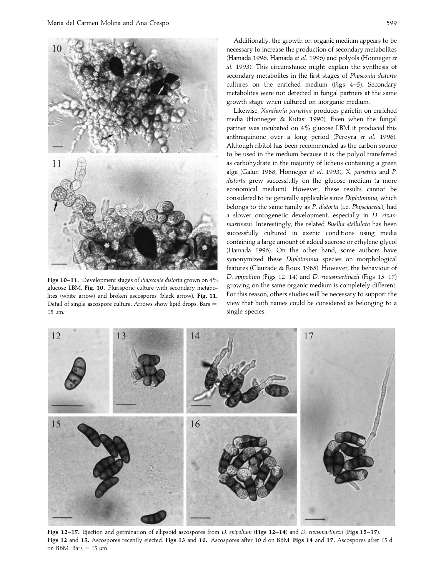

growth stage when cultured on inorganic medium. Likewise, *Xanthoria parietina* produces parietin on enriched media (Honneger & Kutasi 1990). Even when the fungal partner was incubated on 4% glucose LBM it produced this anthraquinone over a long period (Pereyra *et al*. 1996). Although ribitol has been recommended as the carbon source to be used in the medium because it is the polyol transferred as carbohydrate in the majority of lichens containing a green alga (Galun 1988, Honneger *et al*. 1993), *X*. *parietina* and *P*. *distorta* grew successfully on the glucose medium (a more economical medium). However, these results cannot be considered to be generally applicable since *Diplotomma*, which belongs to the same family as *P*. *distorta* (i.e. *Physciaceae*), had a slower ontogenetic development, especially in *D*. *rivasmartinezii*. Interestingly, the related *Buellia stellulata* has been successfully cultured in axenic conditions using media containing a large amount of added sucrose or ethylene glycol (Hamada 1996). On the other hand, some authors have synonymized these *Diplotomma* species on morphological features (Clauzade & Roux 1985). However, the behaviour of *D*. *epipolium* (Figs 12–14) and *D*. *rivasmartinezii* (Figs 15–17) growing on the same organic medium is completely different. For this reason, others studies will be necessary to support the view that both names could be considered as belonging to a single species.

12 13 14  $\beta$  17 15 16

**Figs 12–17.** Ejection and germination of ellipsoid ascospores from *D*. *epipolium* (**Figs 12–14**) and *D*. *rivasmartinezii* (**Figs 15–17**). **Figs 12** and **15.** Ascospores recently ejected. **Figs 13** and **16.** Ascospores after 10 d on BBM. **Figs 14** and **17.** Ascospores after 15 d on BBM. Bars  $= 15 \mu m$ .



**Figs 10–11.** Development stages of *Physconia distorta* grown on 4% glucose LBM. **Fig. 10.** Plurisporic culture with secondary metabolites (white arrow) and broken ascospores (black arrow). **Fig. 11.** Detail of single ascospore culture. Arrows show lipid drops. Bars  $=$ 15 µm.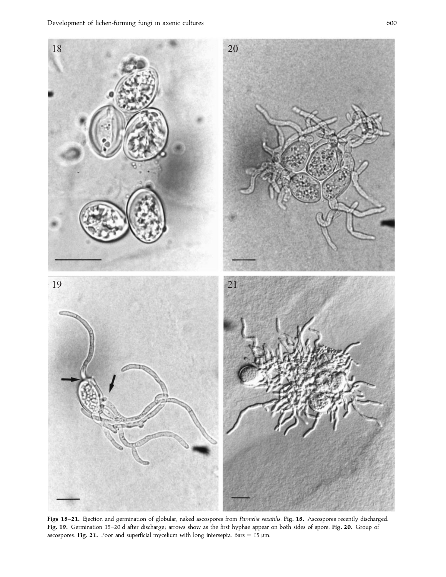

**Figs 18–21.** Ejection and germination of globular, naked ascospores from *Parmelia saxatilis*. **Fig. 18.** Ascospores recently discharged. Fig. 19. Germination 15-20 d after discharge; arrows show as the first hyphae appear on both sides of spore. Fig. 20. Group of ascospores. **Fig. 21.** Poor and superficial mycelium with long intersepta. Bars = 15  $\mu$ m.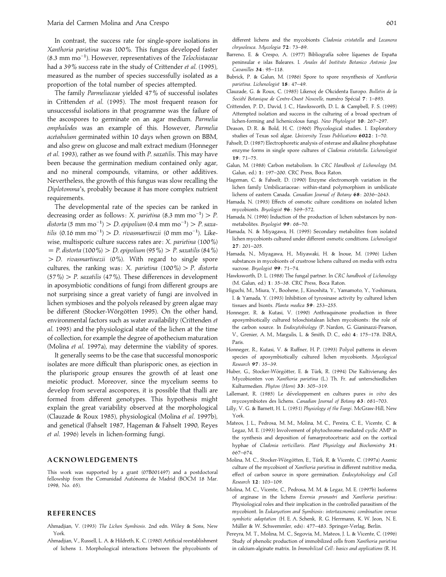In contrast, the success rate for single-spore isolations in *Xanthoria parietina* was 100%. This fungus developed faster (8.3 mm mo−"). However, representatives of the *Telochistaceae* had a 39% success rate in the study of Crittender *et al*. (1995), measured as the number of species successfully isolated as a proportion of the total number of species attempted.

The family *Parmeliaceae* yielded 47% of successful isolates in Crittenden *et al*. (1995). The most frequent reason for unsuccessful isolations in that programme was the failure of the ascospores to germinate on an agar medium. *Parmelia omphalodes* was an example of this. However, *Parmelia acetabulum* germinated within 10 days when grown on BBM, and also grew on glucose and malt extract medium (Honneger *et al*. 1993), rather as we found with *P*. *saxatilis*. This may have been because the germination medium contained only agar, and no mineral compounds, vitamins, or other additives. Nevertheless, the growth of this fungus was slow recalling the *Diplotomma*'s, probably because it has more complex nutrient requirements.

The developmental rate of the species can be ranked in decreasing order as follows: *X. parietina* (8.3 mm mo<sup>-1</sup>) > *P. distorta* (5 mm mo<sup>−1</sup>) > *D. epipolium* (0.4 mm mo<sup>−1</sup>) > *P. saxatilis* (0.16 mm mo<sup>-1</sup>) > *D. rivasmartinezii* (0 mm mo<sup>-1</sup>). Likewise, multisporic culture success rates are : *X*. *parietina* (100%)  $=$  *P.* distorta (100 %)  $>$  *D.* epipolium (95 %)  $>$  *P.* saxatilis (84 %) "*D*. *rivasmartinezii* (0%). With regard to single spore cultures, the ranking was: *X. parietina*  $(100\%)$  *P. distorta* (57%)"*P*. *saxatilis* (47%). These differences in development in aposymbiotic conditions of fungi from different groups are not surprising since a great variety of fungi are involved in lichen symbioses and the polyols released by green algae may be different (Stocker-Wörgötten 1995). On the other hand, environmental factors such as water availability (Crittenden *et al*. 1995) and the physiological state of the lichen at the time of collection, for example the degree of apothecium maturation (Molina *et al*. 1997a), may determine the viability of spores.

It generally seems to be the case that successful monosporic isolates are more difficult than plurisporic ones, as ejection in the plurisporic group ensures the growth of at least one meiotic product. Moreover, since the mycelium seems to develop from several ascospores, it is possible that thalli are formed from different genotypes. This hypothesis might explain the great variability observed at the morphological (Clauzade & Roux 1985), physiological (Molina *et al*. 1997b), and genetical (Fahselt 1987, Hageman & Fahselt 1990, Reyes *et al*. 1996) levels in lichen-forming fungi.

## **ACKNOWLEDGEMENTS**

This work was supported by a grant (07B001497) and a postdoctoral fellowship from the Comunidad Autónoma de Madrid (BOCM 18 Mar. 1998, No. 65).

## **REFERENCES**

- Ahmadjian, V. (1993) *The Lichen Symbiosis*. 2nd edn. Wiley & Sons, New York.
- Ahmadjian, V., Russell, L. A. & Hildreth, K. C. (1980) Artificial reestablishment of lichens 1. Morphological interactions between the phycobionts of

different lichens and the mycobionts *Cladonia cristatella* and *Lecanora chrysoleuca*. *Mycologia* **72**: 73–89.

- Barreno, E. & Crespo, A. (1977) Bibliografía sobre líquenes de España peninsular e islas Baleares. I. *Anales del Instituto Botanico Antonio Jose Cavanilles* **34**: 95–118.
- Bubrick, P. & Galun, M. (1986) Spore to spore resynthesis of *Xanthoria parietina*. *Lichenologist* **18**: 47–49.
- Clauzade, G. & Roux, C. (1985) Likenoj de Okcidenta Europo. *Bulletin de la Société Botanique de Centre-Ouest Nouvelle, numéro Spécial 7: 1–893.*
- Crittenden, P. D., David, J. C., Hawksworth, D. L. & Campbell, F. S. (1995) Attempted isolation and success in the culturing of a broad spectrum of lichen-forming and lichenicolous fungi. *New Phytologist* **10**: 267–297.
- Deason, D. R. & Bold, H. C. (1960) Phycological studies. I. Exploratory studies of Texas soil algae. *University Texas Publications* **6022**: 1–70.
- Fahselt, D. (1987) Electrophoretic analysis of esterase and alkaline phosphatase enzyme forms in single spore cultures of *Cladonia cristatella*. *Lichenologist* **19**: 71–75.
- Galun, M. (1988) Carbon metabolism. In *CRC Handbook of Lichenology* (M. Galun, ed.) **1**: 197–200. CRC Press, Boca Raton.
- Hageman, C. & Fahselt, D. (1990) Enzyme electromorph variation in the lichen family Umbilicariaceae : within-stand polymorphism in umbilicate lichens of eastern Canada. *Canadian Journal of Botany* **68**: 2036–2643.
- Hamada, N. (1993) Effects of osmotic culture conditions on isolated lichen mycobionts. *Bryologist* **96**: 569–572.
- Hamada, N. (1996) Induction of the production of lichen substances by nonmetabolites. *Bryologist* **99**: 68–70.
- Hamada, N. & Miyagawa, H. (1995) Secondary metabolites from isolated lichen mycobionts cultured under different osmotic conditions. *Lichenologist* **27**: 201–205.
- Hamada, N., Miyagawa, H., Miyawaki, H. & Inoue, M. (1996) Lichen substances in mycobionts of crustrose lichens cultured on media with extra sucrose. *Bryologist* **99**: 71–74.
- Hawksworth, D. L. (1988) The fungal partner. In *CRC handbook of Lichenology* (M. Galun, ed.) **1**: 35–38. CRC Press, Boca Raton.
- Higuchi, M., Miura, Y., Boohene, J., Kinoshita, Y., Yamamoto, Y., Yoshimura, I. & Yamada, Y. (1993) Inhibition of tyrosinase activity by cultured lichen tissues and bionts. *Planta medica* **59**: 253–255.
- Honneger, R. & Kutasi, V. (1990) Anthraquinone production in three aposymbiotically cultured teloschistalean lichen mycobionts: the role of the carbon source. In *Endocytobiology* (P. Nardon, G. Gianinazzi-Pearson, V., Grenier, A. M., Margulis, L. & Smith, D. C., eds) **4**: 175–178. INRA, Paris.
- Honneger, R., Kutasi, V. & Ruffner, H. P. (1993) Polyol patterns in eleven species of aposymbiotically cultured lichen mycobionts. *Mycological Research* **97**: 35–39.
- Huber, G., Stocker-Wörgötter, E. & Türk, R. (1994) Die Kultivierung des Mycobionten von *Xanthoria parietina* (L.) Th. Fr. auf unterschiedlichen Kulturmedien. *Phyton* (*Horn*) **33**: 305–319.
- Lallemant, R. (1985) Le développement en cultures pures in vitro des mycosymbiotes des lichens. *Canadian Journal of Botany* **63**: 681–703.
- Lilly, V. G. & Barnett, H. L. (1951) *Physiology of the Fungi*. McGraw-Hill, New York.
- Mateos, J. L., Pedrosa, M. M., Molina, M. C., Pereira, C. E., Vicente, C. & Legaz, M. E. (1993) Involvement of phytochrome-mediated cyclic AMP in the synthesis and deposition of fumarprotocetraric acid on the cortical hyphae of *Cladonia verticillaris*. *Plant Physiology and Biochemistry* **31**: 667–674.
- Molina, M. C., Stocker-Wörgötten, E., Türk, R. & Vicente, C. (1997a) Axenic culture of the mycobiont of *Xanthoria parietina* in different nutritive media, effect of carbon source in spore germination. *Endocytobiology and Cell Research* **12**: 103–109.
- Molina, M. C., Vicente, C., Pedrosa, M. M. & Legaz, M. E. (1997b) Isoforms of arginase in the lichens *Evernia prunastri* and *Xanthoria parietina* : Physiological roles and their implication in the controlled parasitism of the mycobiont. In *Eukaryotism and Symbiosis : intertaxonomic combination versus symbiotic adaptation* (H. E. A. Schenk, R. G. Herrmann, K. W. Jeon, N. E. Múller & W. Schwemmler, eds): 477-483. Springer-Verlag, Berlin.
- Pereyra, M. T., Molina, M. C., Segovia, M., Mateos, J. L. & Vicente, C. (1996) Study of phenolic production of immobilized cells from *Xanthoria parietina* in calcium-alginate matrix. In *Immobilized Cell : basics and applications* (R. H.